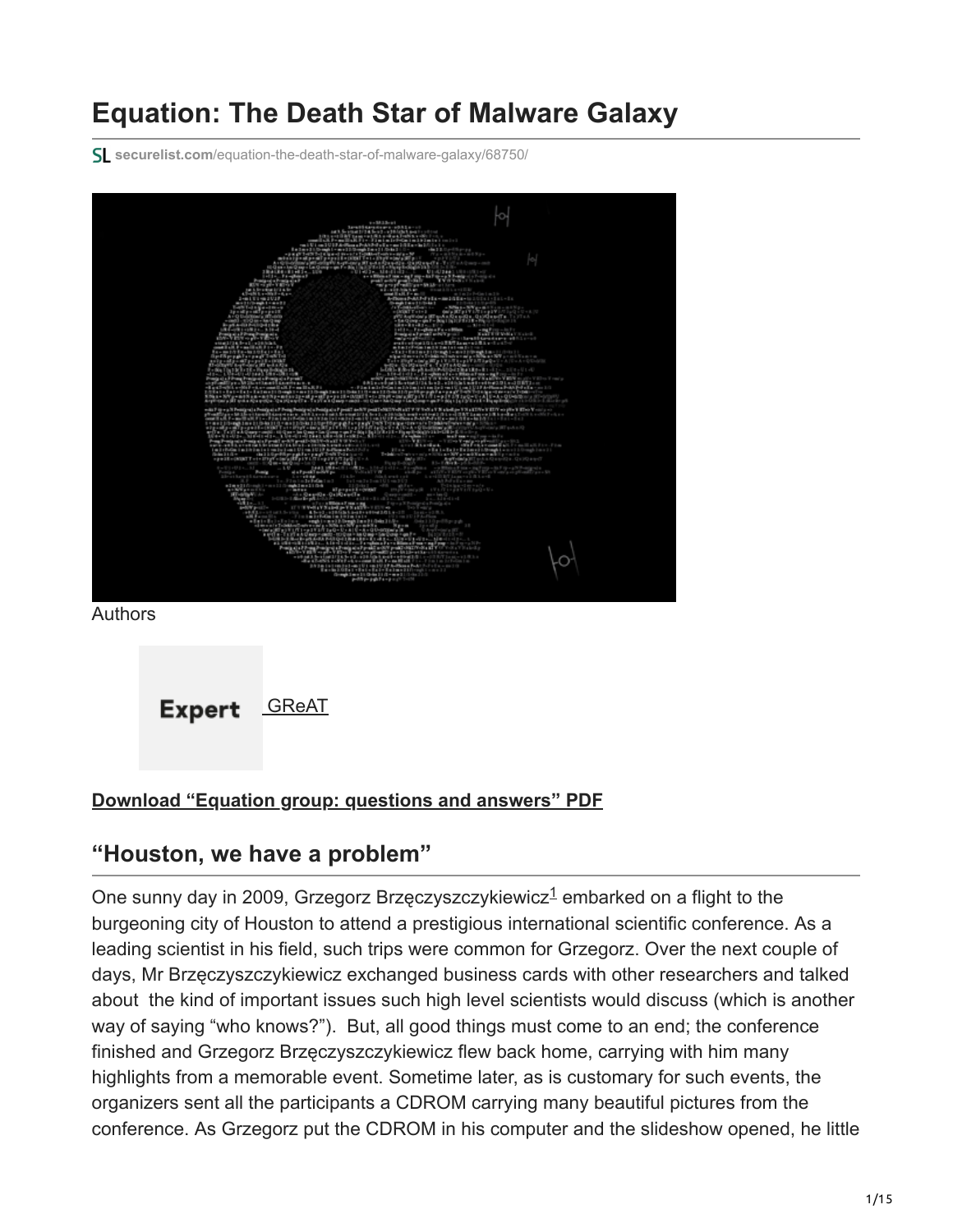# **Equation: The Death Star of Malware Galaxy**

**securelist.com**[/equation-the-death-star-of-malware-galaxy/68750/](https://securelist.com/equation-the-death-star-of-malware-galaxy/68750/)



Authors



#### **[Download "Equation group: questions and answers" PDF](https://media.kasperskycontenthub.com/wp-content/uploads/sites/43/2018/03/08064459/Equation_group_questions_and_answers.pdf)**

### <span id="page-0-0"></span>**"Houston, we have a problem"**

One sunny day in 2009, Gr[z](#page-13-0)egorz Brzęczyszczykiewicz $<sup>1</sup>$  embarked on a flight to the</sup> burgeoning city of Houston to attend a prestigious international scientific conference. As a leading scientist in his field, such trips were common for Grzegorz. Over the next couple of days, Mr Brzęczyszczykiewicz exchanged business cards with other researchers and talked about the kind of important issues such high level scientists would discuss (which is another way of saying "who knows?"). But, all good things must come to an end; the conference finished and Grzegorz Brzęczyszczykiewicz flew back home, carrying with him many highlights from a memorable event. Sometime later, as is customary for such events, the organizers sent all the participants a CDROM carrying many beautiful pictures from the conference. As Grzegorz put the CDROM in his computer and the slideshow opened, he little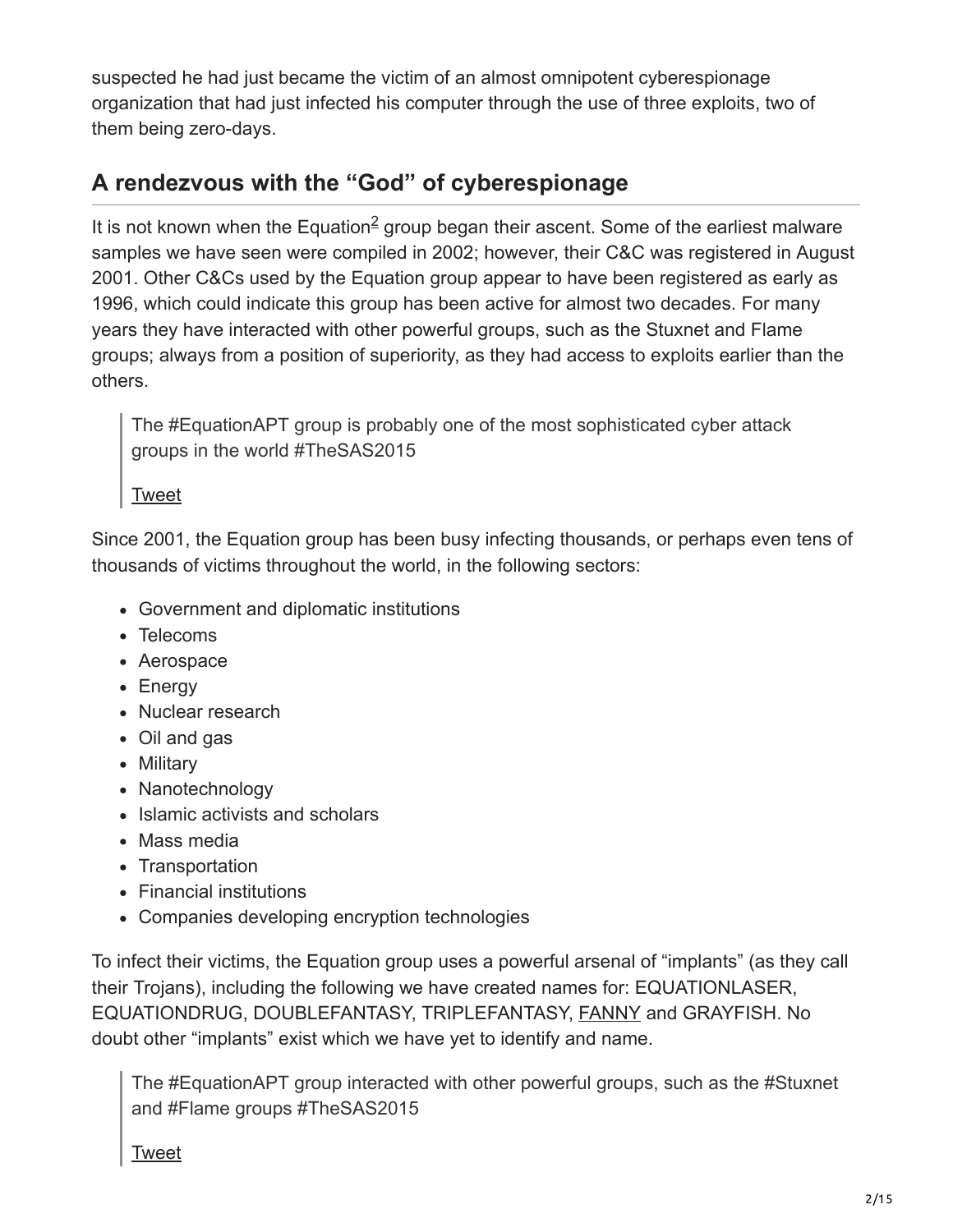suspected he had just became the victim of an almost omnipotent cyberespionage organization that had just infected his computer through the use of three exploits, two of them being zero-days.

## **A rendezvous with the "God" of cyberespionage**

It is not know[n](#page-13-0) when the Equation $\frac{2}{3}$  group began their ascent. Some of the earliest malware samples we have seen were compiled in 2002; however, their C&C was registered in August 2001. Other C&Cs used by the Equation group appear to have been registered as early as 1996, which could indicate this group has been active for almost two decades. For many years they have interacted with other powerful groups, such as the Stuxnet and Flame groups; always from a position of superiority, as they had access to exploits earlier than the others.

The #EquationAPT group is probably one of the most sophisticated cyber attack groups in the world #TheSAS2015

[Tweet](https://twitter.com/share?url=https%3A%2F%2Fsecurelist.com%2Fequation-the-death-star-of-malware-galaxy%2F68750%2F&text=The+%23EquationAPT+group+is+probably+one+of+the+most+sophisticated+cyber+attack+groups+in+the+world+%23TheSAS2015)

Since 2001, the Equation group has been busy infecting thousands, or perhaps even tens of thousands of victims throughout the world, in the following sectors:

- Government and diplomatic institutions
- Telecoms
- Aerospace
- Energy
- Nuclear research
- Oil and gas
- Military
- Nanotechnology
- Islamic activists and scholars
- Mass media
- Transportation
- Financial institutions
- Companies developing encryption technologies

To infect their victims, the Equation group uses a powerful arsenal of "implants" (as they call their Trojans), including the following we have created names for: EQUATIONLASER, EQUATIONDRUG, DOUBLEFANTASY, TRIPLEFANTASY, [FANNY](https://securelist.com/a-fanny-equation-i-am-your-father-stuxnet/68787/) and GRAYFISH. No doubt other "implants" exist which we have yet to identify and name.

The #EquationAPT group interacted with other powerful groups, such as the #Stuxnet and #Flame groups #TheSAS2015

[Tweet](https://twitter.com/share?url=https%3A%2F%2Fsecurelist.com%2Fequation-the-death-star-of-malware-galaxy%2F68750%2F&text=The+%23EquationAPT+group+interacted+with+other+powerful+groups%2C+such+as+the+%23Stuxnet+and+%23Flame+groups+%23TheSAS2015)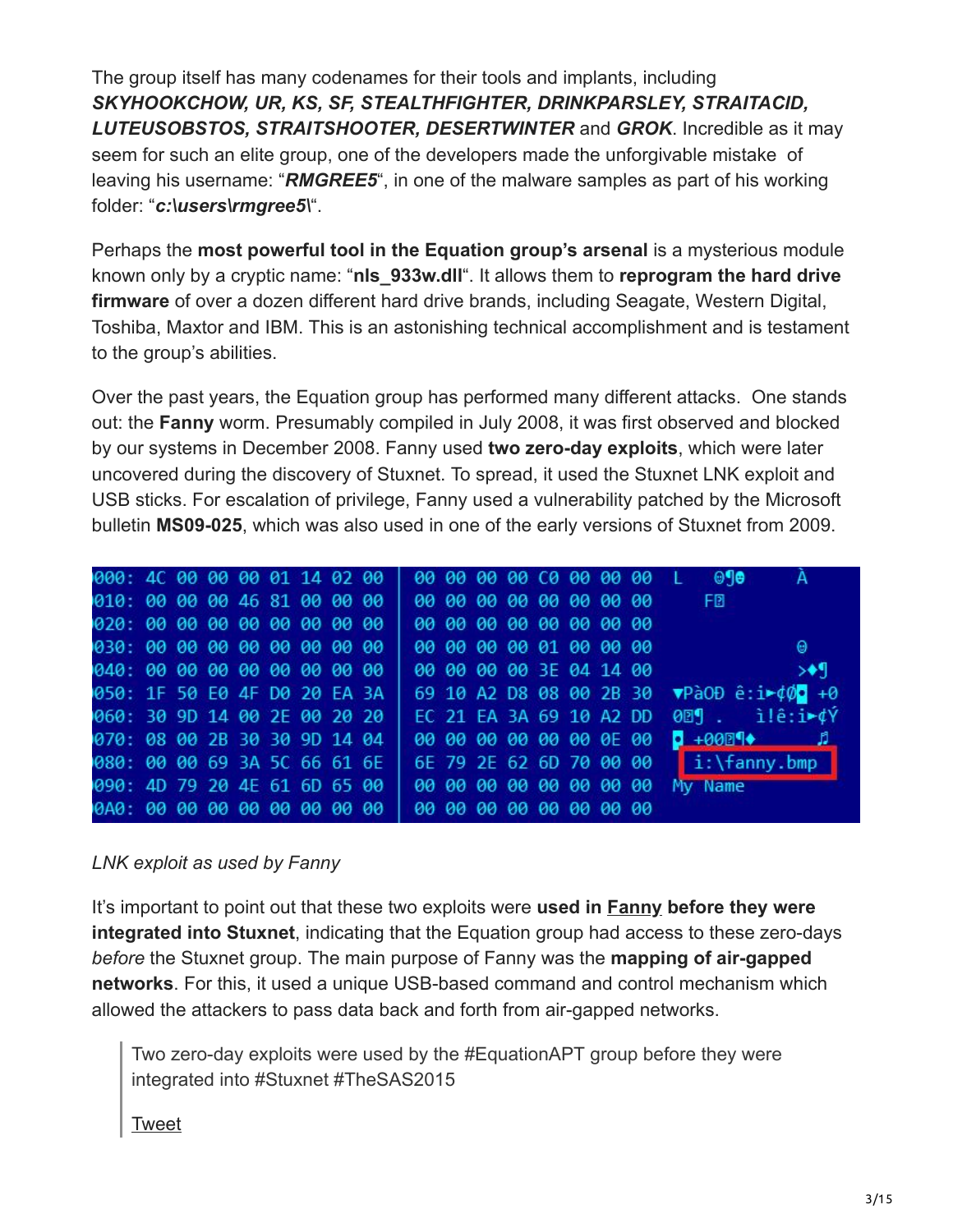The group itself has many codenames for their tools and implants, including *SKYHOOKCHOW, UR, KS, SF, STEALTHFIGHTER, DRINKPARSLEY, STRAITACID, LUTEUSOBSTOS, STRAITSHOOTER, DESERTWINTER* and *GROK*. Incredible as it may seem for such an elite group, one of the developers made the unforgivable mistake of leaving his username: "*RMGREE5*", in one of the malware samples as part of his working folder: "*c:\users\rmgree5\*".

Perhaps the **most powerful tool in the Equation group's arsenal** is a mysterious module known only by a cryptic name: "**nls\_933w.dll**". It allows them to **reprogram the hard drive firmware** of over a dozen different hard drive brands, including Seagate, Western Digital, Toshiba, Maxtor and IBM. This is an astonishing technical accomplishment and is testament to the group's abilities.

Over the past years, the Equation group has performed many different attacks. One stands out: the **Fanny** worm. Presumably compiled in July 2008, it was first observed and blocked by our systems in December 2008. Fanny used **two zero-day exploits**, which were later uncovered during the discovery of Stuxnet. To spread, it used the Stuxnet LNK exploit and USB sticks. For escalation of privilege, Fanny used a vulnerability patched by the Microsoft bulletin **MS09-025**, which was also used in one of the early versions of Stuxnet from 2009.

| 000: 4C 00 00 00 01 14 02 00                           |  |  |  |  |                         |  |                         |  |                         | 00 00 00 00 00 00 00 00 L 010                   |
|--------------------------------------------------------|--|--|--|--|-------------------------|--|-------------------------|--|-------------------------|-------------------------------------------------|
| 010:00 00 00 46 81 00 00 00                            |  |  |  |  |                         |  |                         |  |                         | 00 00 00 00 00 00 00 00 FB                      |
| 020:00 00 00 00 00 00 00 00                            |  |  |  |  |                         |  | 00 00 00 00 00 00 00 00 |  |                         |                                                 |
| 030:00 00 00 00 00 00 00 00                            |  |  |  |  | 00 00 00 00 01 00 00 00 |  |                         |  |                         | Θ                                               |
| 040:00 00 00 00 00 00 00 00                            |  |  |  |  | 00 00 00 00 3E 04 14 00 |  |                         |  |                         | $\rightarrow$                                   |
| 050: 1F 50 E0 4F D0 20 EA 3A                           |  |  |  |  |                         |  |                         |  |                         | 69 10 A2 D8 08 00 2B 30 ▼PàOĐ ê:i►¢Ø• +0        |
| 060: 30 9D 14 00 2E 00 20 20                           |  |  |  |  | EC 21 EA 3A 69 10 A2 DD |  |                         |  |                         | $009$ . ilê:i $\sqrt{v}$                        |
| 070: 08 00 2B 30 30 9D 14 04                           |  |  |  |  |                         |  |                         |  | 00 00 00 00 00 00 0E 00 | $\begin{array}{ccc}\n\bullet & +000\end{array}$ |
| 080: 00 00 69 3A 5C 66 61 6E                           |  |  |  |  |                         |  |                         |  |                         | 6E 79 2E 62 6D 70 00 00 i:\fanny.bmp            |
| 090: 4D 79 20 4E 61 6D 65 00   00 00 00 00 00 00 00 00 |  |  |  |  |                         |  |                         |  |                         | My Name                                         |
|                                                        |  |  |  |  |                         |  |                         |  |                         |                                                 |

#### *LNK exploit as used by Fanny*

It's important to point out that these two exploits were **used in [Fanny](https://securelist.com/a-fanny-equation-i-am-your-father-stuxnet/68787/) before they were integrated into Stuxnet**, indicating that the Equation group had access to these zero-days *before* the Stuxnet group. The main purpose of Fanny was the **mapping of air-gapped networks**. For this, it used a unique USB-based command and control mechanism which allowed the attackers to pass data back and forth from air-gapped networks.

Two zero-day exploits were used by the #EquationAPT group before they were integrated into #Stuxnet #TheSAS2015

#### [Tweet](https://twitter.com/share?url=https%3A%2F%2Fsecurelist.com%2Fequation-the-death-star-of-malware-galaxy%2F68750%2F&text=Two+zero-day+exploits+were+used+by+the+%23EquationAPT+group+before+they+were+integrated+into+%23Stuxnet+%23TheSAS2015)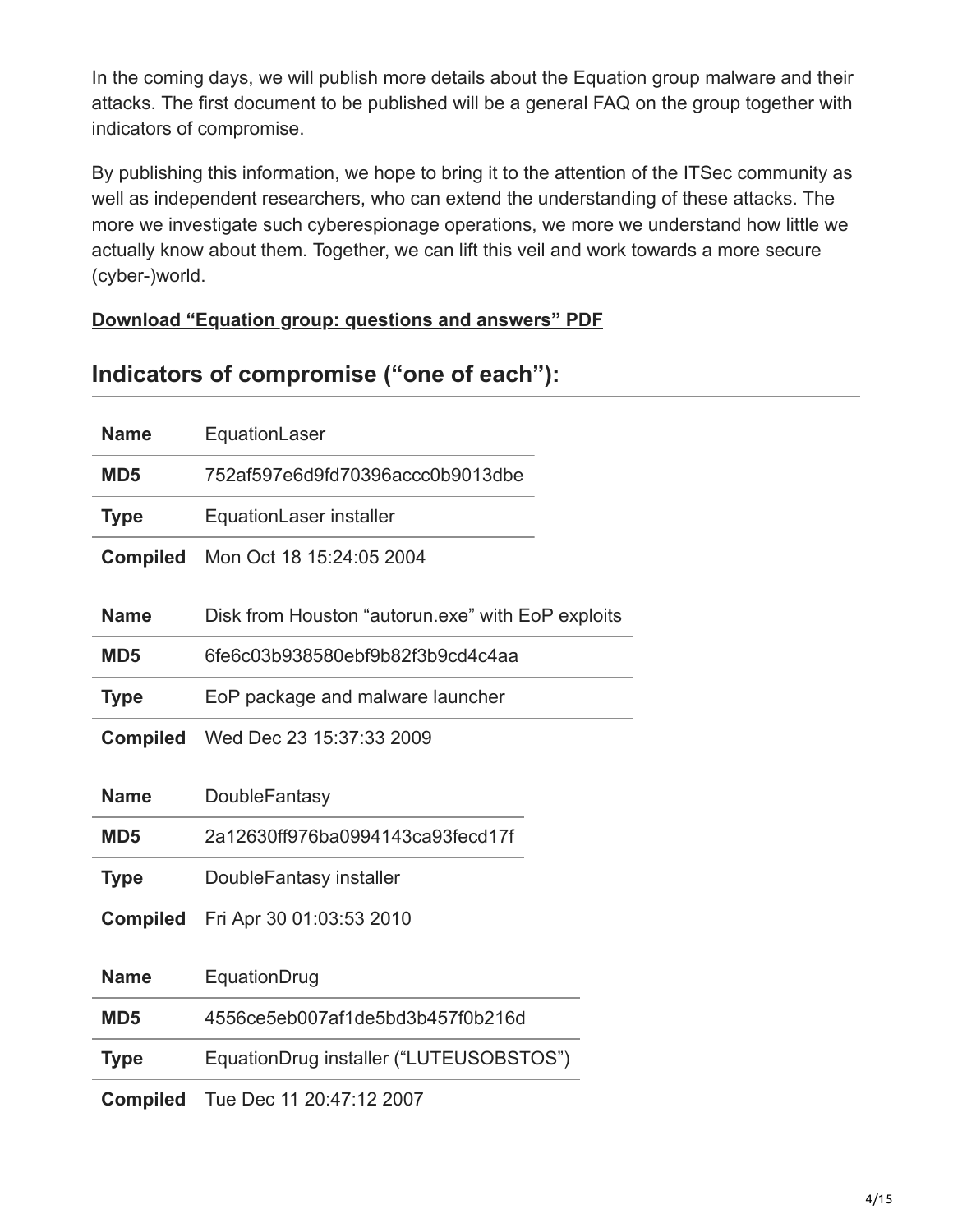In the coming days, we will publish more details about the Equation group malware and their attacks. The first document to be published will be a general FAQ on the group together with indicators of compromise.

By publishing this information, we hope to bring it to the attention of the ITSec community as well as independent researchers, who can extend the understanding of these attacks. The more we investigate such cyberespionage operations, we more we understand how little we actually know about them. Together, we can lift this veil and work towards a more secure (cyber-)world.

#### **[Download "Equation group: questions and answers" PDF](https://media.kasperskycontenthub.com/wp-content/uploads/sites/43/2018/03/08064459/Equation_group_questions_and_answers.pdf)**

### **Indicators of compromise ("one of each"):**

| <b>Name</b>     | EquationLaser                                     |
|-----------------|---------------------------------------------------|
| MD <sub>5</sub> | 752af597e6d9fd70396accc0b9013dbe                  |
| <b>Type</b>     | EquationLaser installer                           |
| <b>Compiled</b> | Mon Oct 18 15:24:05 2004                          |
| <b>Name</b>     | Disk from Houston "autorun.exe" with EoP exploits |
| MD <sub>5</sub> | 6fe6c03b938580ebf9b82f3b9cd4c4aa                  |
| <b>Type</b>     | EoP package and malware launcher                  |
| <b>Compiled</b> | Wed Dec 23 15:37:33 2009                          |
|                 |                                                   |
| <b>Name</b>     | <b>DoubleFantasy</b>                              |
| MD <sub>5</sub> | 2a12630ff976ba0994143ca93fecd17f                  |
| <b>Type</b>     | DoubleFantasy installer                           |
| <b>Compiled</b> | Fri Apr 30 01:03:53 2010                          |
| <b>Name</b>     | EquationDrug                                      |
| MD <sub>5</sub> | 4556ce5eb007af1de5bd3b457f0b216d                  |
| <b>Type</b>     | EquationDrug installer ("LUTEUSOBSTOS")           |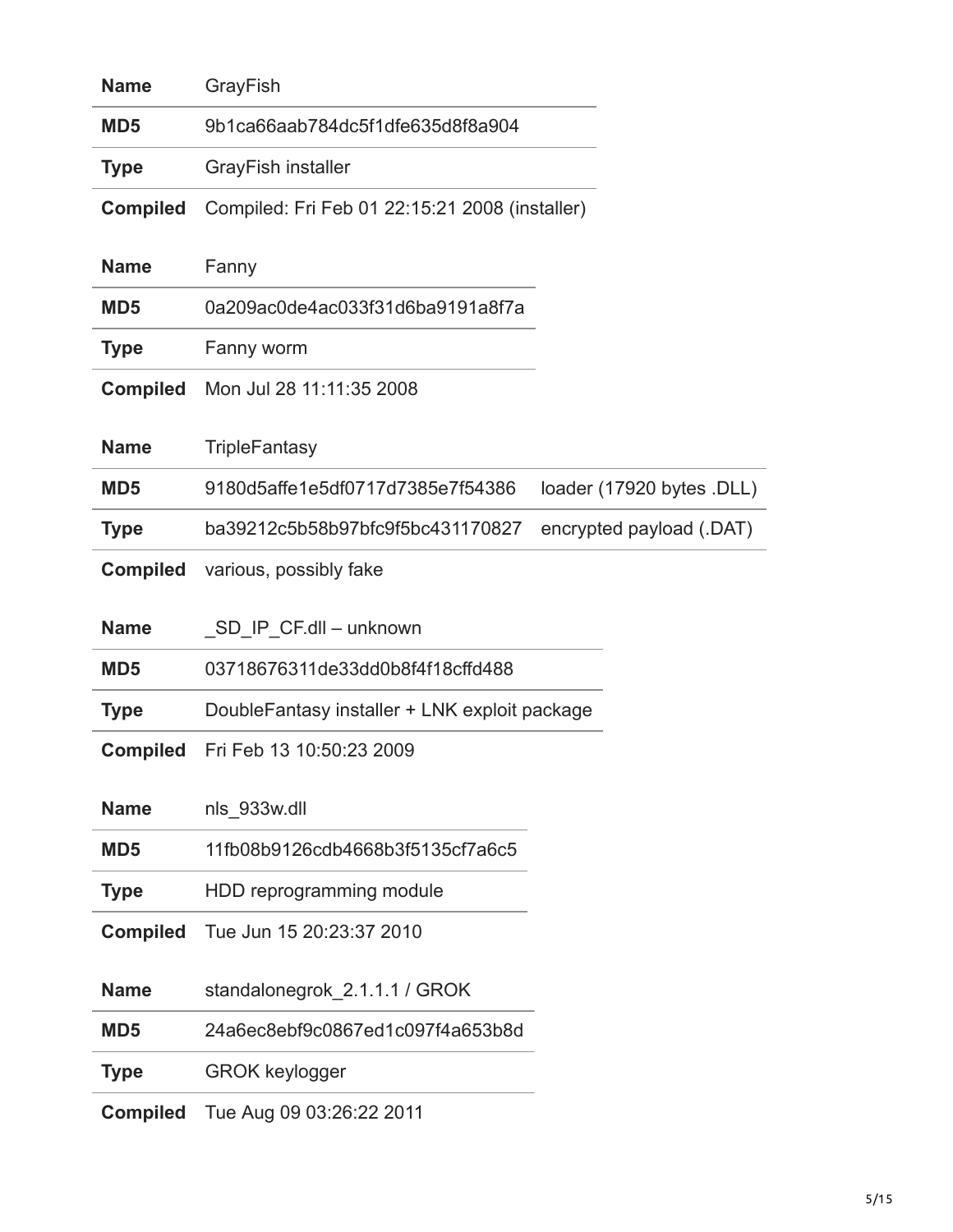| <b>Name</b>     | GrayFish                                       |                           |
|-----------------|------------------------------------------------|---------------------------|
| MD <sub>5</sub> | 9b1ca66aab784dc5f1dfe635d8f8a904               |                           |
| <b>Type</b>     | <b>GrayFish installer</b>                      |                           |
| <b>Compiled</b> | Compiled: Fri Feb 01 22:15:21 2008 (installer) |                           |
| <b>Name</b>     | Fanny                                          |                           |
| MD <sub>5</sub> | 0a209ac0de4ac033f31d6ba9191a8f7a               |                           |
| <b>Type</b>     | Fanny worm                                     |                           |
| <b>Compiled</b> | Mon Jul 28 11:11:35 2008                       |                           |
| <b>Name</b>     | <b>TripleFantasy</b>                           |                           |
| MD <sub>5</sub> | 9180d5affe1e5df0717d7385e7f54386               | loader (17920 bytes .DLL) |
| <b>Type</b>     | ba39212c5b58b97bfc9f5bc431170827               | encrypted payload (.DAT)  |
| <b>Compiled</b> | various, possibly fake                         |                           |
| <b>Name</b>     | SD IP CF.dll - unknown                         |                           |
| MD <sub>5</sub> | 03718676311de33dd0b8f4f18cffd488               |                           |
| <b>Type</b>     | DoubleFantasy installer + LNK exploit package  |                           |
| <b>Compiled</b> | Fri Feb 13 10:50:23 2009                       |                           |
| <b>Name</b>     | nls 933w.dll                                   |                           |
| MD <sub>5</sub> | 11fb08b9126cdb4668b3f5135cf7a6c5               |                           |
| <b>Type</b>     | HDD reprogramming module                       |                           |
| <b>Compiled</b> | Tue Jun 15 20:23:37 2010                       |                           |
| <b>Name</b>     | standalonegrok 2.1.1.1 / GROK                  |                           |
| MD <sub>5</sub> | 24a6ec8ebf9c0867ed1c097f4a653b8d               |                           |
| <b>Type</b>     | <b>GROK keylogger</b>                          |                           |
| <b>Compiled</b> | Tue Aug 09 03:26:22 2011                       |                           |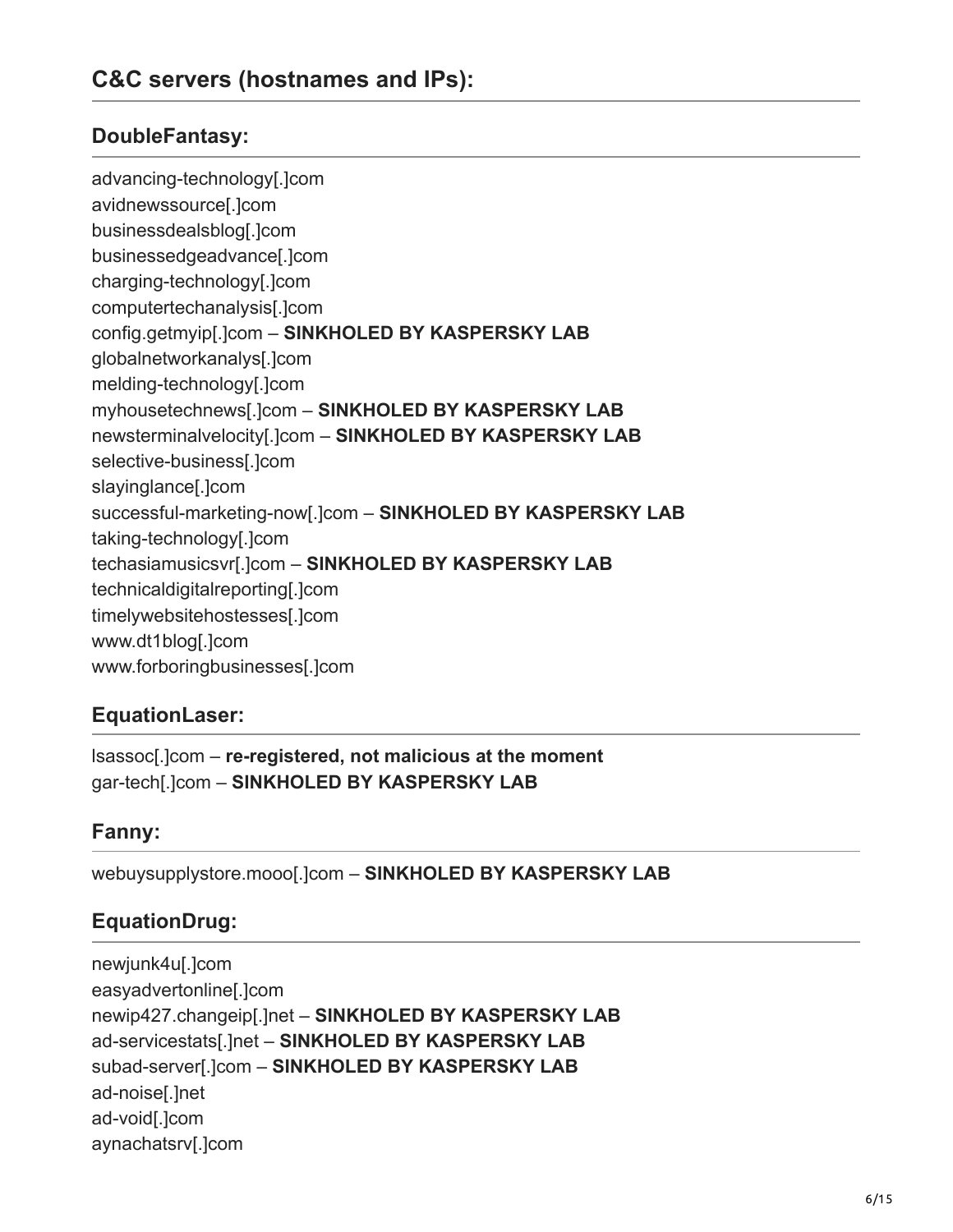#### **DoubleFantasy:**

advancing-technology[.]com avidnewssource[.]com businessdealsblog[.]com businessedgeadvance[.]com charging-technology[.]com computertechanalysis[.]com config.getmyip[.]com – **SINKHOLED BY KASPERSKY LAB** globalnetworkanalys[.]com melding-technology[.]com myhousetechnews[.]com – **SINKHOLED BY KASPERSKY LAB** newsterminalvelocity[.]com – **SINKHOLED BY KASPERSKY LAB** selective-business[.]com slayinglance[.]com successful-marketing-now[.]com – **SINKHOLED BY KASPERSKY LAB** taking-technology[.]com techasiamusicsvr[.]com – **SINKHOLED BY KASPERSKY LAB** technicaldigitalreporting[.]com timelywebsitehostesses[.]com www.dt1blog[.]com www.forboringbusinesses[.]com

#### **EquationLaser:**

lsassoc[.]com – **re-registered, not malicious at the moment** gar-tech[.]com – **SINKHOLED BY KASPERSKY LAB**

#### **Fanny:**

webuysupplystore.mooo[.]com – **SINKHOLED BY KASPERSKY LAB**

#### **EquationDrug:**

newjunk4u[.]com easyadvertonline[.]com newip427.changeip[.]net – **SINKHOLED BY KASPERSKY LAB** ad-servicestats[.]net – **SINKHOLED BY KASPERSKY LAB** subad-server[.]com – **SINKHOLED BY KASPERSKY LAB** ad-noise[.]net ad-void[.]com aynachatsrv[.]com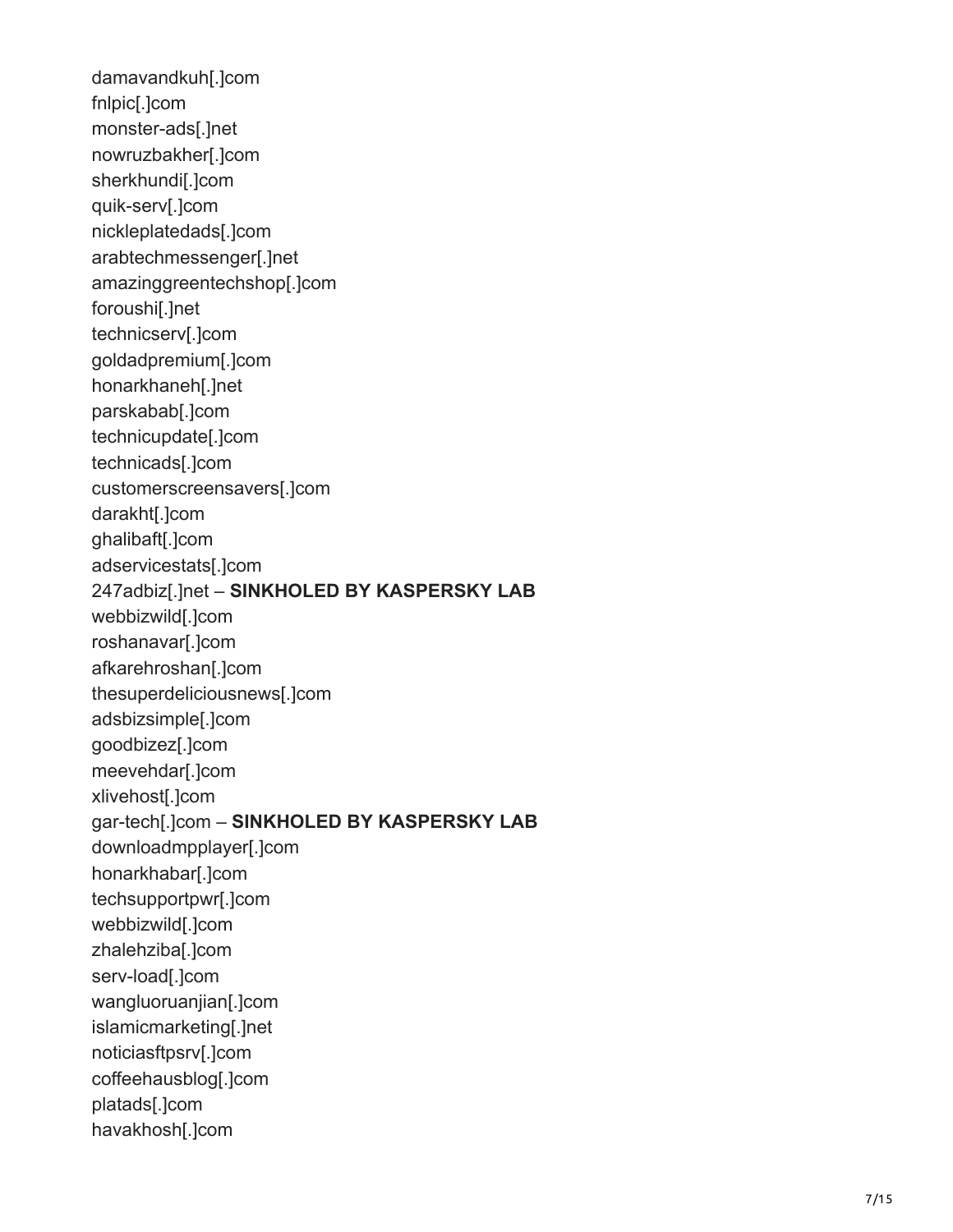damavandkuh[.]com fnlpic[.]com monster-ads[.]net nowruzbakher[.]com sherkhundi[.]com quik-serv[.]com nickleplatedads[.]com arabtechmessenger[.]net amazinggreentechshop[.]com foroushi[.]net technicserv[.]com goldadpremium[.]com honarkhaneh[.]net parskabab[.]com technicupdate[.]com technicads[.]com customerscreensavers[.]com darakht[.]com ghalibaft[.]com adservicestats[.]com 247adbiz[.]net – **SINKHOLED BY KASPERSKY LAB** webbizwild[.]com roshanavar[.]com afkarehroshan[.]com thesuperdeliciousnews[.]com adsbizsimple[.]com goodbizez[.]com meevehdar[.]com xlivehost[.]com gar-tech[.]com – **SINKHOLED BY KASPERSKY LAB** downloadmpplayer[.]com honarkhabar[.]com techsupportpwr[.]com webbizwild[.]com zhalehziba[.]com serv-load[.]com wangluoruanjian[.]com islamicmarketing[.]net noticiasftpsrv[.]com coffeehausblog[.]com platads[.]com havakhosh[.]com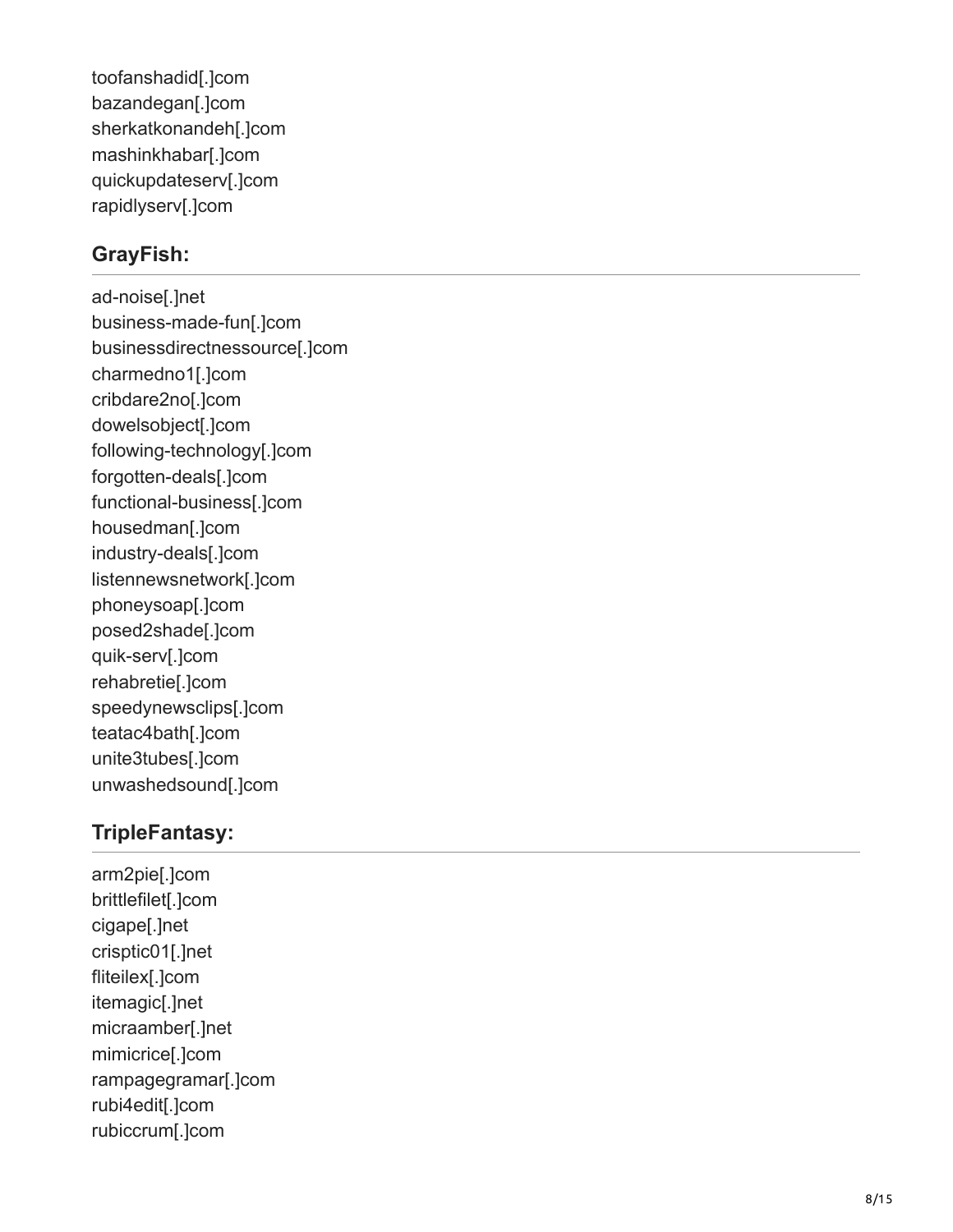toofanshadid[.]com bazandegan[.]com sherkatkonandeh[.]com mashinkhabar[.]com quickupdateserv[.]com rapidlyserv[.]com

### **GrayFish:**

ad-noise[.]net business-made-fun[.]com businessdirectnessource[.]com charmedno1[.]com cribdare2no[.]com dowelsobject[.]com following-technology[.]com forgotten-deals[.]com functional-business[.]com housedman[.]com industry-deals[.]com listennewsnetwork[.]com phoneysoap[.]com posed2shade[.]com quik-serv[.]com rehabretie[.]com speedynewsclips[.]com teatac4bath[.]com unite3tubes[.]com unwashedsound[.]com

#### **TripleFantasy:**

arm2pie[.]com brittlefilet[.]com cigape[.]net crisptic01[.]net fliteilex[.]com itemagic[.]net micraamber[.]net mimicrice[.]com rampagegramar[.]com rubi4edit[.]com rubiccrum[.]com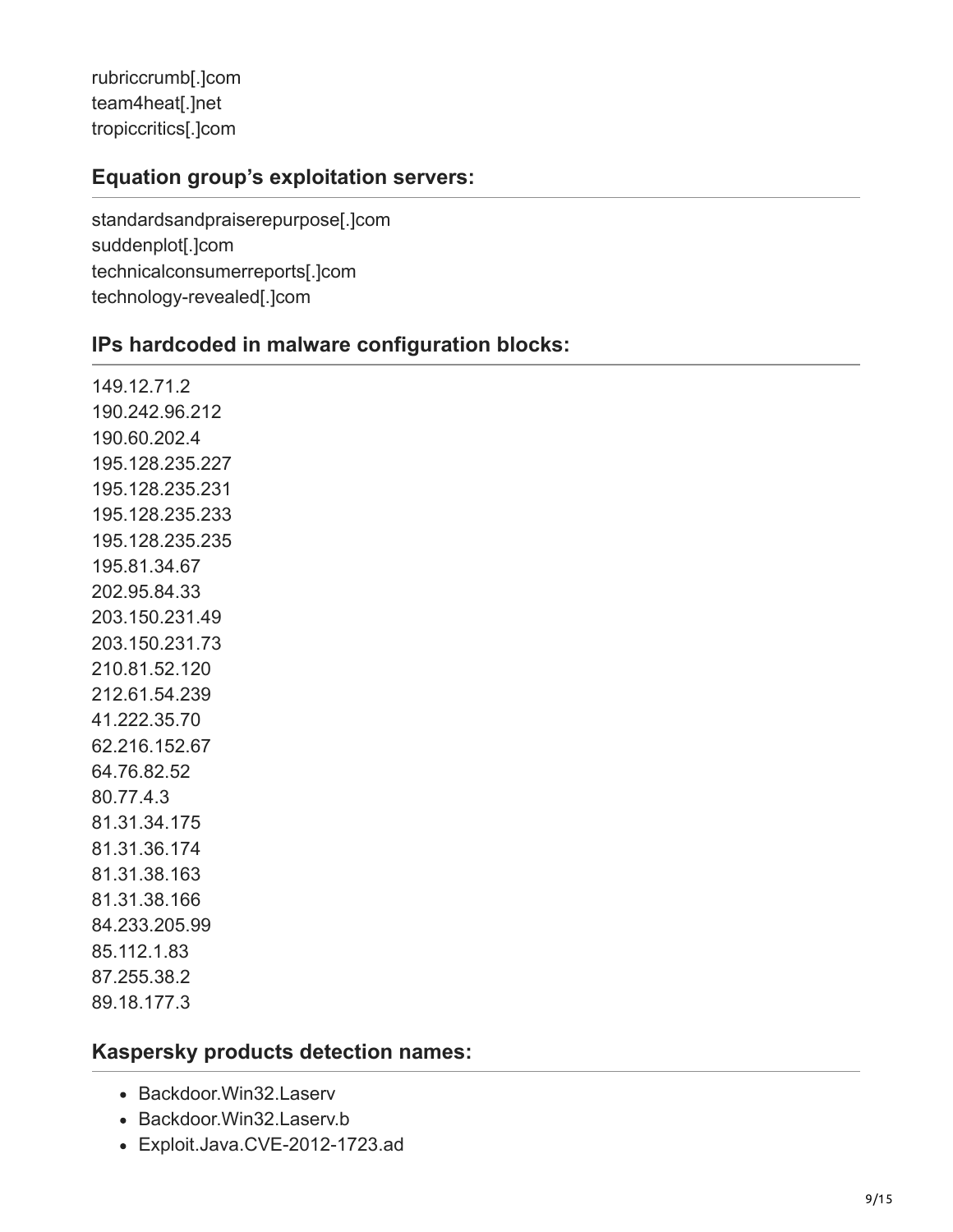rubriccrumb[.]com team4heat[.]net tropiccritics[.]com

#### **Equation group's exploitation servers:**

standardsandpraiserepurpose[.]com suddenplot[.]com technicalconsumerreports[.]com technology-revealed[.]com

#### **IPs hardcoded in malware configuration blocks:**

149.12.71.2 190.242.96.212 190.60.202.4 195.128.235.227 195.128.235.231 195.128.235.233 195.128.235.235 195.81.34.67 202.95.84.33 203.150.231.49 203.150.231.73 210.81.52.120 212.61.54.239 41.222.35.70 62.216.152.67 64.76.82.52 80.77.4.3 81.31.34.175 81.31.36.174 81.31.38.163 81.31.38.166 84.233.205.99 85.112.1.83 87.255.38.2 89.18.177.3

#### **Kaspersky products detection names:**

- Backdoor.Win32.Laserv
- Backdoor.Win32.Laserv.b
- Exploit.Java.CVE-2012-1723.ad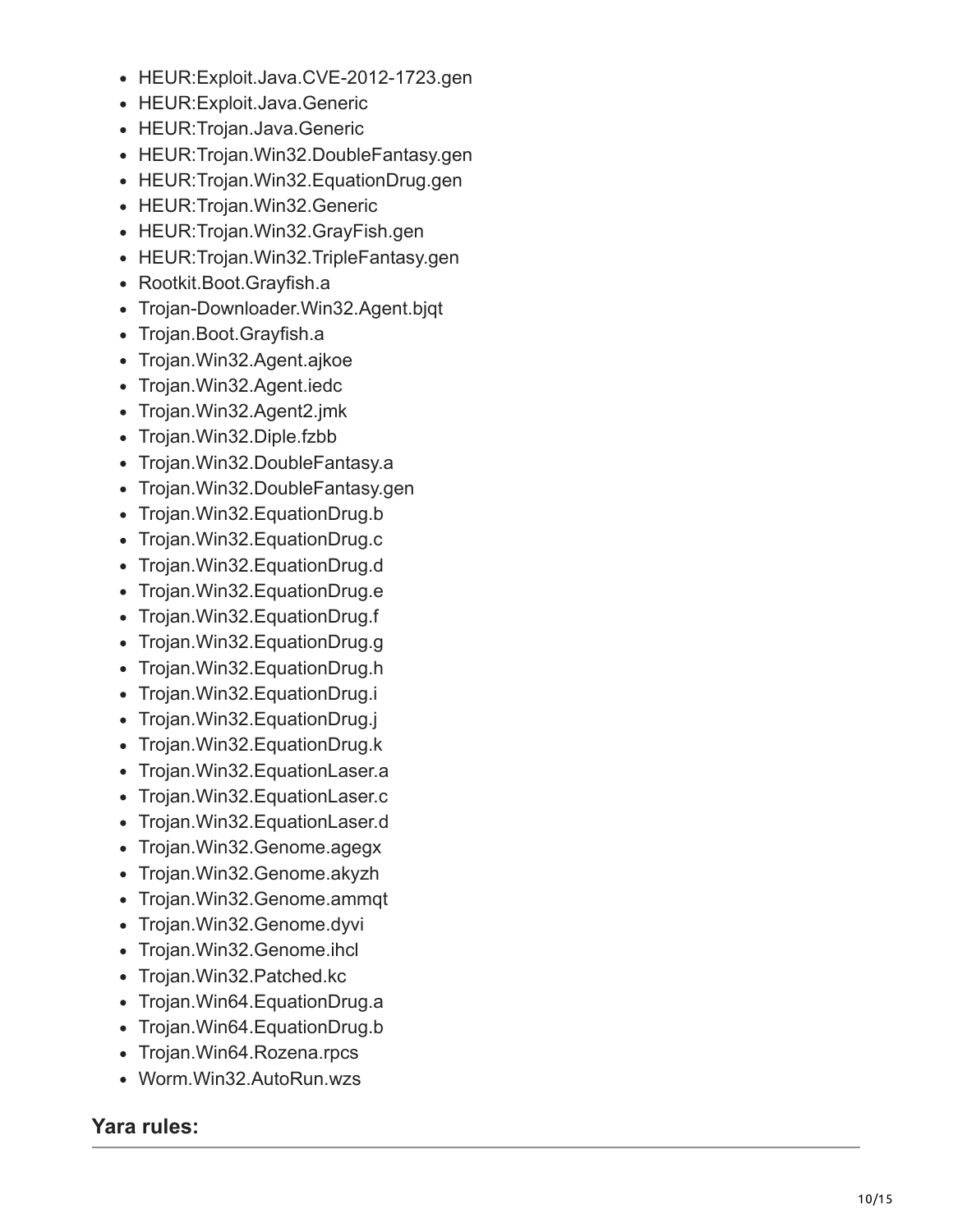- HEUR:Exploit.Java.CVE-2012-1723.gen
- HEUR:Exploit.Java.Generic
- HEUR:Trojan.Java.Generic
- HEUR: Trojan. Win32. Double Fantasy.gen
- HEUR: Trojan. Win32. Equation Drug.gen
- HEUR: Trojan. Win32. Generic
- HEUR: Trojan. Win32. Gray Fish.gen
- HEUR: Trojan. Win32. Triple Fantasy.gen
- Rootkit.Boot.Grayfish.a
- Trojan-Downloader.Win32.Agent.bjqt
- Trojan.Boot.Grayfish.a
- Trojan. Win32. Agent. ajkoe
- Trojan. Win32. Agent. iedc
- Trojan.Win32.Agent2.jmk
- Trojan.Win32.Diple.fzbb
- Trojan. Win32. Double Fantasy.a
- Trojan. Win32. Double Fantasy.gen
- Trojan.Win32.EquationDrug.b
- Trojan.Win32.EquationDrug.c
- Trojan.Win32.EquationDrug.d
- Trojan.Win32.EquationDrug.e
- Trojan.Win32.EquationDrug.f
- Trojan.Win32.EquationDrug.g
- Trojan. Win32. Equation Drug.h
- Trojan.Win32.EquationDrug.i
- Trojan.Win32.EquationDrug.j
- Trojan. Win32. Equation Drug. k
- Trojan. Win32. Equation Laser. a
- Trojan. Win32. Equation Laser.c
- Trojan. Win32. Equation Laser.d
- Trojan. Win32. Genome. agegx
- Trojan.Win32.Genome.akyzh
- Trojan. Win32. Genome. ammqt
- Trojan. Win32. Genome.dyvi
- Trojan.Win32.Genome.ihcl
- Trojan. Win32. Patched.kc
- Trojan. Win64. Equation Drug.a
- Trojan. Win64. Equation Drug. b
- Trojan. Win64. Rozena.rpcs
- Worm.Win32.AutoRun.wzs

#### **Yara rules:**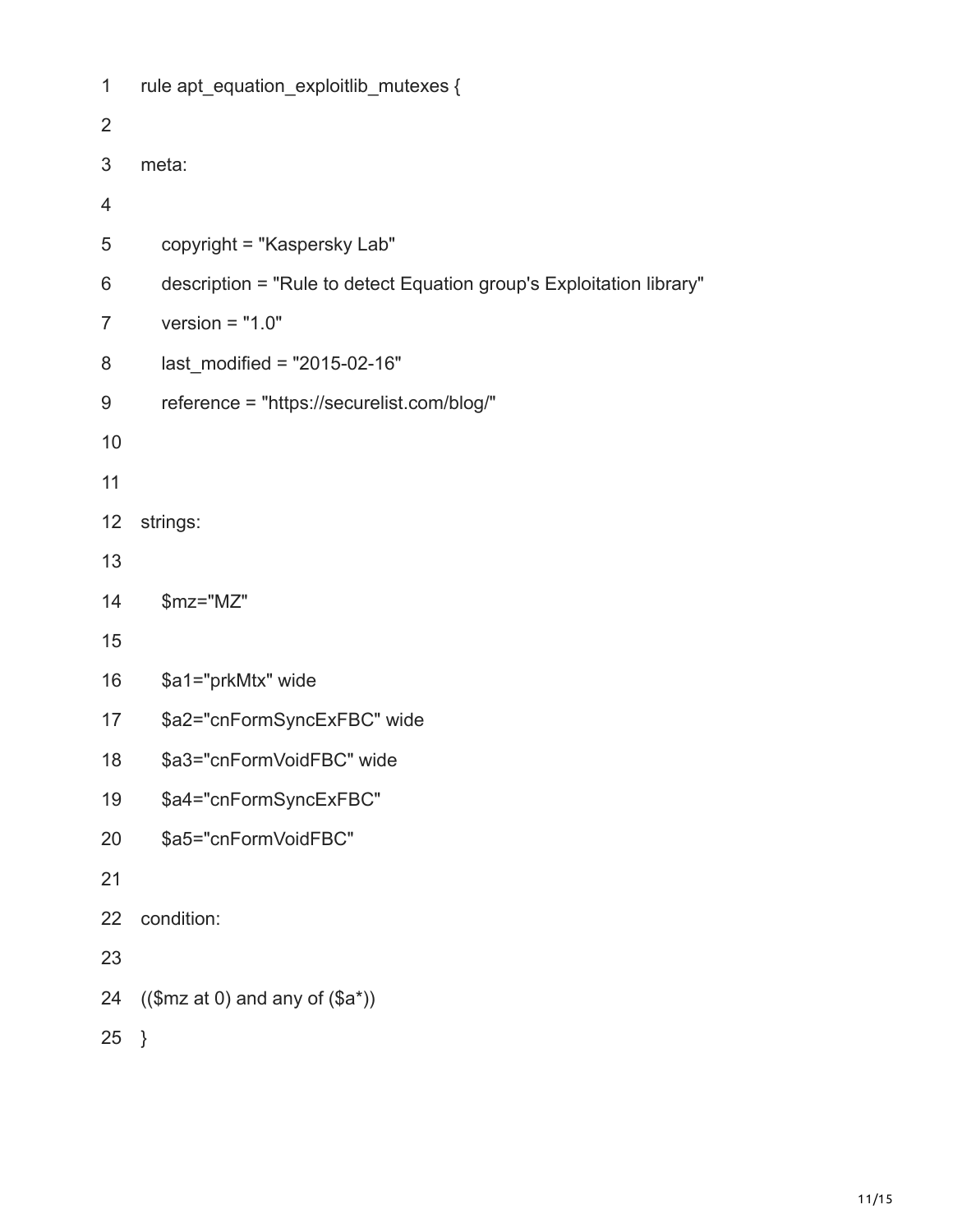```
1
2
3
4
5
6
7
8
9
10
11
12
13
14
15
16
17
18
19
20
21
22
23
24
25
}rule apt_equation_exploitlib_mutexes {
    meta:
        copyright = "Kaspersky Lab"
        description = "Rule to detect Equation group's Exploitation library"
        version = "1.0"
       last modified = "2015-02-16" reference = "https://securelist.com/blog/"
    strings:
        $mz="MZ"
        $a1="prkMtx" wide
        $a2="cnFormSyncExFBC" wide
        $a3="cnFormVoidFBC" wide
        $a4="cnFormSyncExFBC"
        $a5="cnFormVoidFBC"
    condition:
    (($mz at 0)$ and any of <math>($a^*)</math>)
```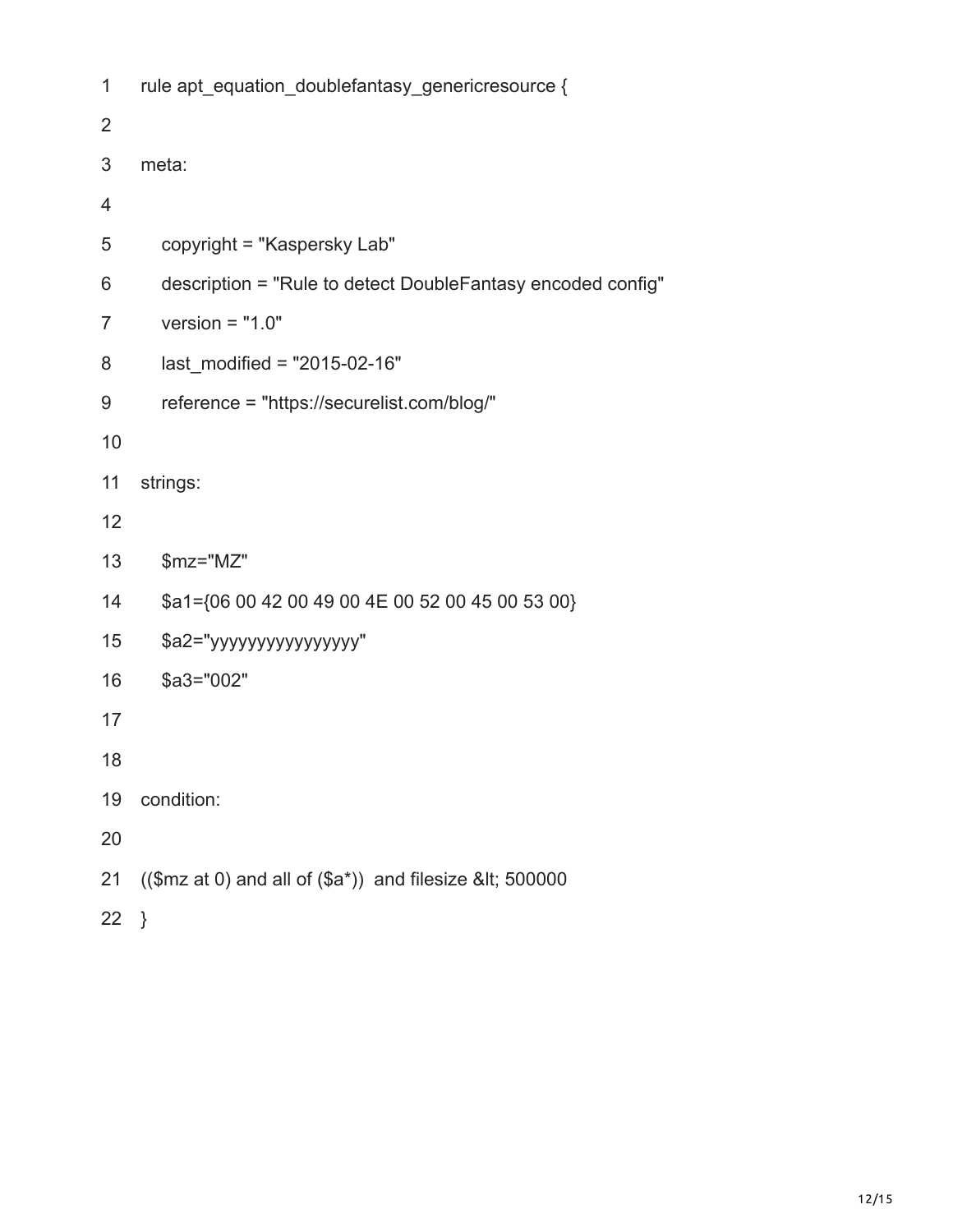| 1              | rule apt_equation_doublefantasy_genericresource {           |  |  |  |  |  |
|----------------|-------------------------------------------------------------|--|--|--|--|--|
| $\overline{2}$ |                                                             |  |  |  |  |  |
| 3              | meta:                                                       |  |  |  |  |  |
| $\overline{4}$ |                                                             |  |  |  |  |  |
| 5              | copyright = "Kaspersky Lab"                                 |  |  |  |  |  |
| 6              | description = "Rule to detect DoubleFantasy encoded config" |  |  |  |  |  |
| $\overline{7}$ | version = $"1.0"$                                           |  |  |  |  |  |
| 8              | last modified = $"2015-02-16"$                              |  |  |  |  |  |
| 9              | reference = "https://securelist.com/blog/"                  |  |  |  |  |  |
| 10             |                                                             |  |  |  |  |  |
| 11             | strings:                                                    |  |  |  |  |  |
| 12             |                                                             |  |  |  |  |  |
| 13             | \$mz="MZ"                                                   |  |  |  |  |  |
| 14             | \$a1={06 00 42 00 49 00 4E 00 52 00 45 00 53 00}            |  |  |  |  |  |
| 15             | \$a2="yyyyyyyyyyyyyyyy"                                     |  |  |  |  |  |
| 16             | $$a3="002"$                                                 |  |  |  |  |  |
| 17             |                                                             |  |  |  |  |  |
| 18             |                                                             |  |  |  |  |  |
| 19             | condition:                                                  |  |  |  |  |  |
| 20             |                                                             |  |  |  |  |  |
| 21             | $(($mz at 0) and all of ($a*))$ and filesize &It 500000     |  |  |  |  |  |

22 }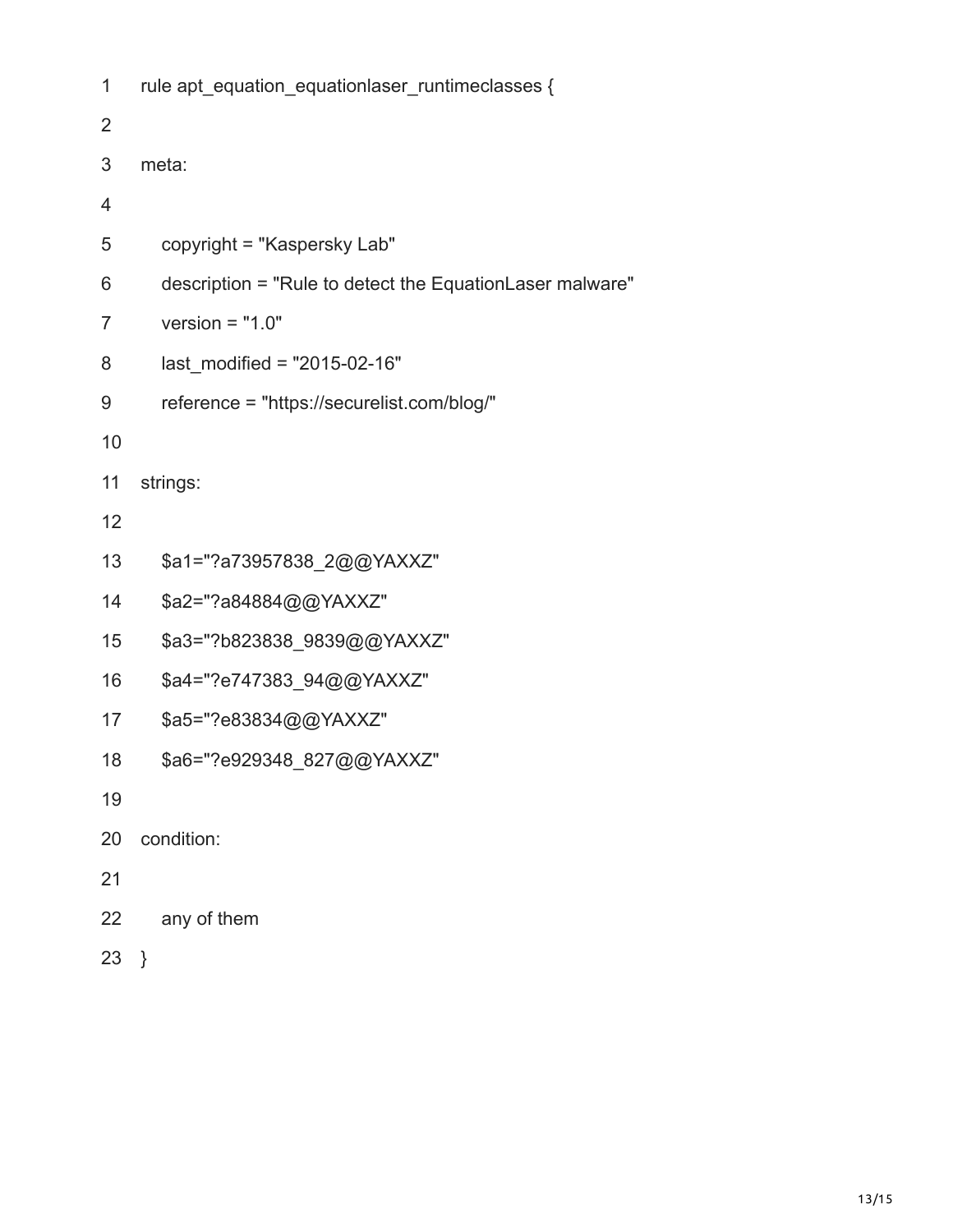| 1              | rule apt_equation_equationlaser_runtimeclasses {         |  |  |  |  |  |
|----------------|----------------------------------------------------------|--|--|--|--|--|
| $\overline{2}$ |                                                          |  |  |  |  |  |
| 3              | meta:                                                    |  |  |  |  |  |
| 4              |                                                          |  |  |  |  |  |
| 5              | copyright = "Kaspersky Lab"                              |  |  |  |  |  |
| 6              | description = "Rule to detect the EquationLaser malware" |  |  |  |  |  |
| $\overline{7}$ | version = $"1.0"$                                        |  |  |  |  |  |
| 8              | last modified = $"2015-02-16"$                           |  |  |  |  |  |
| 9              | reference = "https://securelist.com/blog/"               |  |  |  |  |  |
| 10             |                                                          |  |  |  |  |  |
| 11             | strings:                                                 |  |  |  |  |  |
| 12             |                                                          |  |  |  |  |  |
| 13             | \$a1="?a73957838_2@@YAXXZ"                               |  |  |  |  |  |
| 14             | \$a2="?a84884@@YAXXZ"                                    |  |  |  |  |  |
| 15             | \$a3="?b823838_9839@@YAXXZ"                              |  |  |  |  |  |
| 16             | \$a4="?e747383_94@@YAXXZ"                                |  |  |  |  |  |
| 17             | \$a5="?e83834@@YAXXZ"                                    |  |  |  |  |  |
| 18             | \$a6="?e929348 827@@YAXXZ"                               |  |  |  |  |  |
| 19             |                                                          |  |  |  |  |  |
| 20             | condition:                                               |  |  |  |  |  |
| 21             |                                                          |  |  |  |  |  |
| 22             | any of them                                              |  |  |  |  |  |
| 23             | $\}$                                                     |  |  |  |  |  |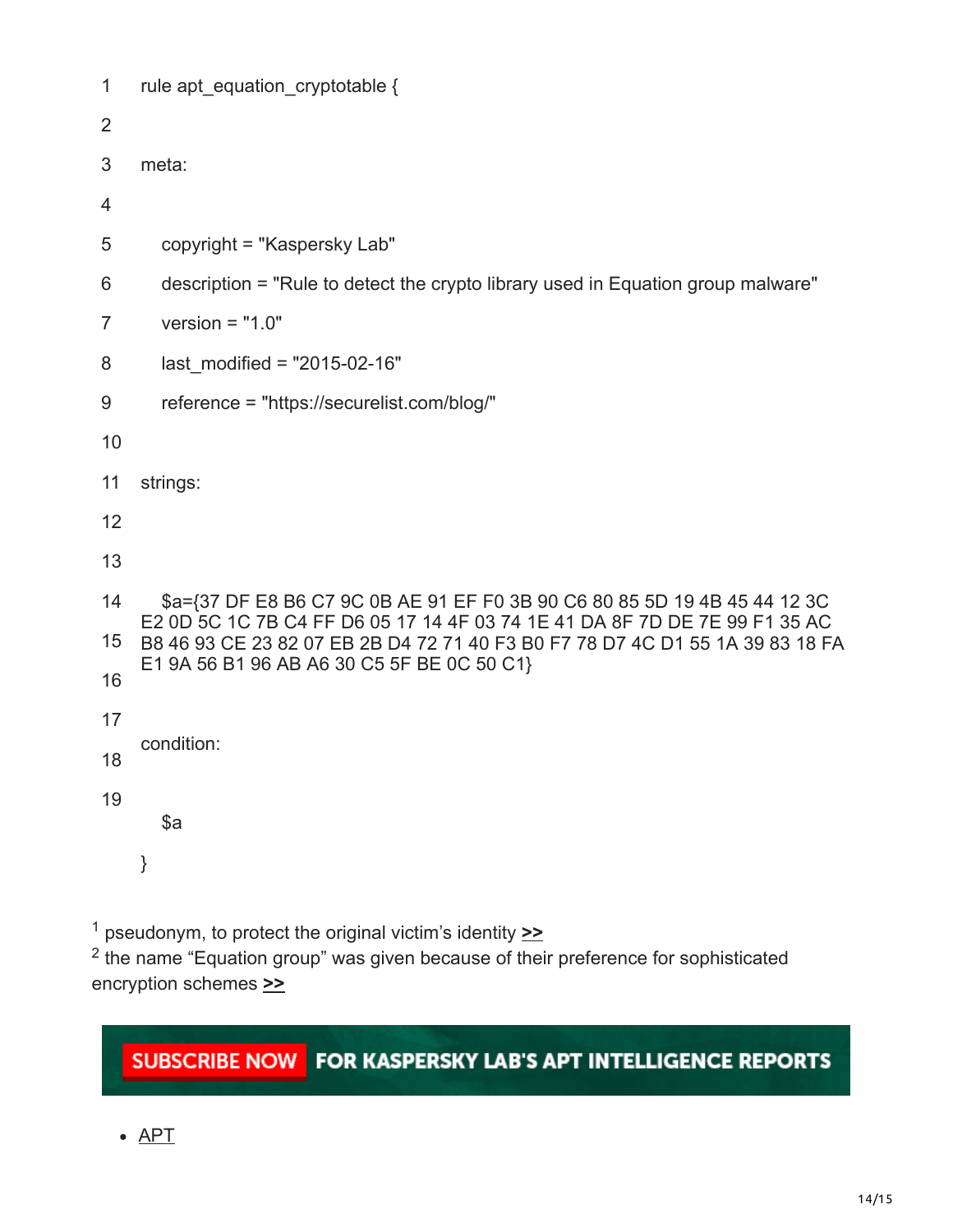| $\mathbf{1}$ | rule apt_equation_cryptotable {                                                                                                                                                                                                                                                        |  |  |  |  |  |
|--------------|----------------------------------------------------------------------------------------------------------------------------------------------------------------------------------------------------------------------------------------------------------------------------------------|--|--|--|--|--|
| 2            |                                                                                                                                                                                                                                                                                        |  |  |  |  |  |
| 3            | meta:                                                                                                                                                                                                                                                                                  |  |  |  |  |  |
| 4            |                                                                                                                                                                                                                                                                                        |  |  |  |  |  |
| 5            | copyright = "Kaspersky Lab"                                                                                                                                                                                                                                                            |  |  |  |  |  |
| 6            | description = "Rule to detect the crypto library used in Equation group malware"                                                                                                                                                                                                       |  |  |  |  |  |
| 7            | version = $"1.0"$                                                                                                                                                                                                                                                                      |  |  |  |  |  |
| 8            | last modified = $"2015-02-16"$                                                                                                                                                                                                                                                         |  |  |  |  |  |
| 9            | reference = "https://securelist.com/blog/"                                                                                                                                                                                                                                             |  |  |  |  |  |
| 10           |                                                                                                                                                                                                                                                                                        |  |  |  |  |  |
| 11           | strings:                                                                                                                                                                                                                                                                               |  |  |  |  |  |
| 12           |                                                                                                                                                                                                                                                                                        |  |  |  |  |  |
| 13           |                                                                                                                                                                                                                                                                                        |  |  |  |  |  |
| 14           | \$a={37 DF E8 B6 C7 9C 0B AE 91 EF F0 3B 90 C6 80 85 5D 19 4B 45 44 12 3C<br>E2 0D 5C 1C 7B C4 FF D6 05 17 14 4F 03 74 1E 41 DA 8F 7D DE 7E 99 F1 35 AC<br>B8 46 93 CE 23 82 07 EB 2B D4 72 71 40 F3 B0 F7 78 D7 4C D1 55 1A 39 83 18 FA<br>E1 9A 56 B1 96 AB A6 30 C5 5F BE 0C 50 C1} |  |  |  |  |  |
| 15           |                                                                                                                                                                                                                                                                                        |  |  |  |  |  |
| 16           |                                                                                                                                                                                                                                                                                        |  |  |  |  |  |
| 17           |                                                                                                                                                                                                                                                                                        |  |  |  |  |  |
| 18           | condition:                                                                                                                                                                                                                                                                             |  |  |  |  |  |
| 19           | \$a                                                                                                                                                                                                                                                                                    |  |  |  |  |  |
|              | }                                                                                                                                                                                                                                                                                      |  |  |  |  |  |

<span id="page-13-0"></span> pseudonym, to protect the original victim's identity **[>>](#page-0-0)** 1

 the name "Equation group" was given because of their preference for sophisticated encryption schemes **[>>](#page-0-0)** 2

# SUBSCRIBE NOW FOR KASPERSKY LAB'S APT INTELLIGENCE REPORTS

 $APT$